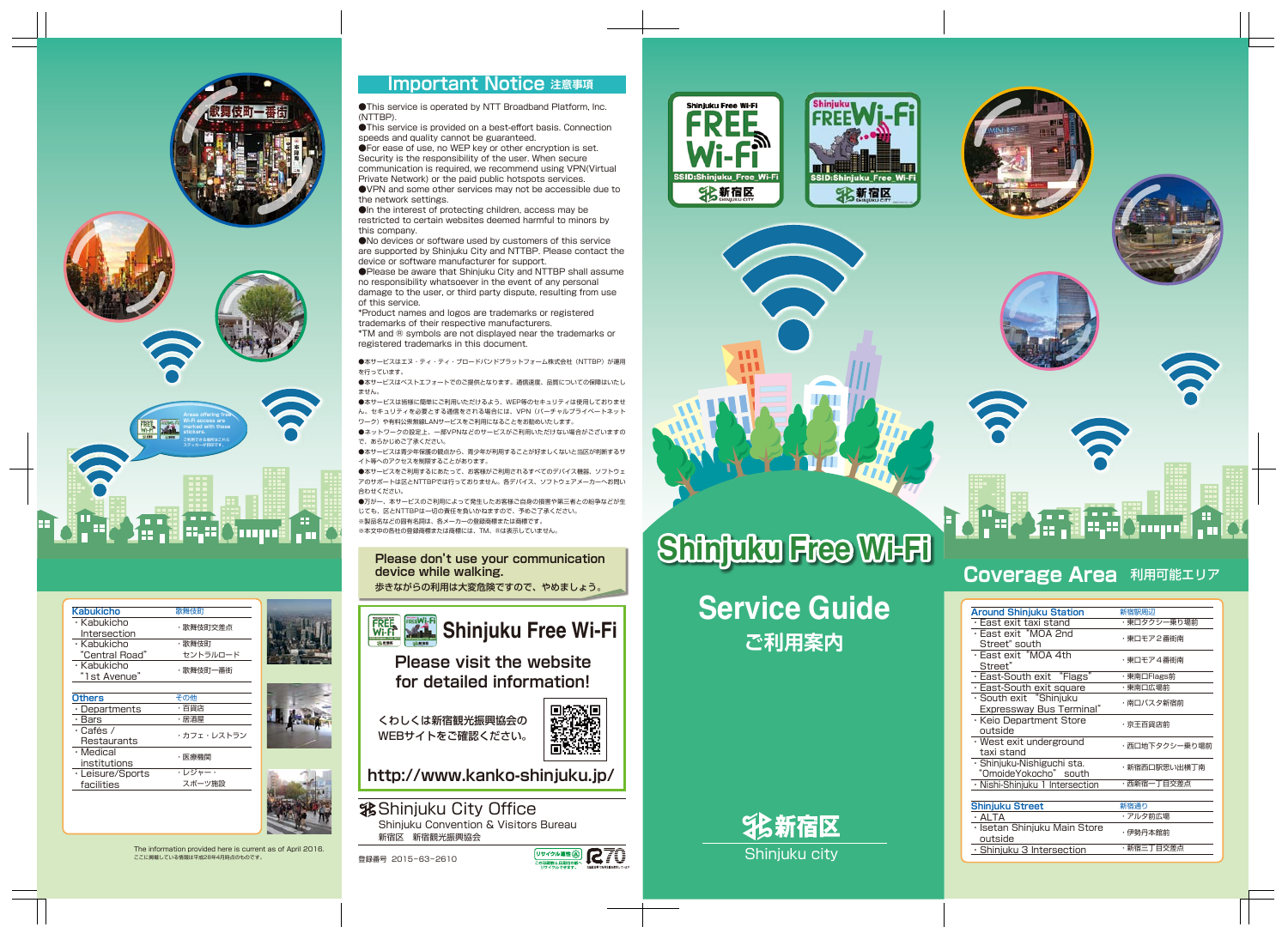





### **Important Notice 注意事項**









# 

### **Coverage Area** 利用可能エリア

●This service is operated by NTT Broadband Platform, Inc. (NTTBP).

●This service is provided on a best-effort basis. Connection speeds and quality cannot be guaranteed.

●For ease of use, no WEP key or other encryption is set. Security is the responsibility of the user. When secure communication is required, we recommend using VPN(Virtual Private Network) or the paid public hotspots services. ●VPN and some other services may not be accessible due to the network settings.

●In the interest of protecting children, access may be restricted to certain websites deemed harmful to minors by this company.

●No devices or software used by customers of this service are supported by Shinjuku City and NTTBP. Please contact the device or software manufacturer for support.

●本サービスをご利用するにあたって、お客様がご利用されるすべてのデバイス機器、ソフトウェ アのサポートは区とNTTBPでは行っておりません。各デバイス、ソフトウェアメーカーへお問い 合わせください。

●Please be aware that Shinjuku City and NTTBP shall assume no responsibility whatsoever in the event of any personal damage to the user, or third party dispute, resulting from use of this service.

\*Product names and logos are trademarks or registered trademarks of their respective manufacturers.

**我Shinjuku City Office** Shinjuku Convention & Visitors Bureau 新宿区 新宿観光振興協会

\*TM and ® symbols are not displayed near the trademarks or registered trademarks in this document.

●本サービスはエヌ・ティ・ティ・ブロードバンドプラットフォーム株式会社(NTTBP)が運用 を行っています。

●本サービスはベストエフォートでのご提供となります。通信速度、品質についての保障はいたし ません。

●本サービスは皆様に簡単にご利用いただけるよう、WEP等のセキュリティは使用しておりませ ん。セキュリティを必要とする通信をされる場合には、VPN(バーチャルプライベートネット ワーク)や有料公衆無線LANサービスをご利用になることをお勧めいたします。

●ネットワークの設定上、一部VPNなどのサービスがご利用いただけない場合がございますの で、あらかじめご了承ください。

●本サービスは青少年保護の観点から、青少年が利用することが好ましくないと当区が判断するサ イト等へのアクセスを制限することがあります。

# **ご利用案内 Service Guide**

●万が一、本サービスのご利用によって発生したお客様ご自身の損害や第三者との紛争などが生 じても、区とNTTBPは一切の責任を負いかねますので、予めご了承ください。 ※製品名などの固有名詞は、各メーカーの登録商標または商標です。

※本文中の各社の登録商標または商標には、TM、®は表示していません。

### **Please don't use your communication device while walking.**

歩きながらの利用は大変危険ですので、やめましょう。



# **Shinjuku Free Wi-Fi** Shinjuku Free Wi-Fi

### The information provided here is current as of April 2016. ここに掲載している情報は平成28年4月時点のものです。



**http://www.kanko-shinjuku.jp/**

**Please visit the website for detailed information!**

くわしくは新宿観光振興協会の WEBサイトをご確認ください。



**R70** 

リサイクル適性(A)

の印刷物は、印刷用の<br>11サイクルできます

| <b>Kabukicho</b>    | 歌舞伎町     |  |
|---------------------|----------|--|
| · Kabukicho         |          |  |
| Intersection        | ・歌舞伎町交差点 |  |
| · Kabukicho         | ・歌舞伎町    |  |
| "Central Road"      | セントラルロード |  |
| · Kabukicho         | ・歌舞伎町一番街 |  |
| "1st Avenue"        |          |  |
|                     |          |  |
| <b>Others</b>       | その他      |  |
| $\cdot$ Departments | ・百貨店     |  |
| Rare                | ・早流层     |  |

| הומנו            | 冶冶牢        |  |
|------------------|------------|--|
| $\cdot$ Cafés /  | ・カフェ・レストラン |  |
| Restaurants      |            |  |
| · Medical        | ・医療機関      |  |
| institutions     |            |  |
| · Leisure/Sports | ・レジャー・     |  |
| facilities       | スポーツ施設     |  |

| <b>Around Shinjuku Station</b>                            | 新宿駅周辺         |
|-----------------------------------------------------------|---------------|
| • East exit taxi stand                                    | ・東口タクシー乗り場前   |
| · East exit "MOA 2nd<br>Street" south                     | ・東口モア2番街南     |
| · East exit "MOA 4th<br>Street"                           | ・東口モア4番街南     |
| · East-South exit "Flags"                                 | ・東南口Flags前    |
| $\cdot$ East-South exit square                            | ・東南口広場前       |
| · South exit "Shinjuku<br><b>Expressway Bus Terminal"</b> | ・南口バスタ新宿前     |
| · Keio Department Store<br>outside                        | ・京王百貨店前       |
| $\cdot$ West exit underground<br>taxi stand               | ・西口地下タクシー乗り場前 |
| · Shinjuku-Nishiguchi sta.<br>"OmoideYokocho" south       | ・新宿西口駅思い出横丁南  |
| · Nishi-Shinjuku 1 Intersection                           | ・西新宿一丁目交差点    |
| <b>Shinjuku Street</b>                                    | 新宿通り          |
| · ALTA                                                    | ・アルタ前広場       |
| · Isetan Shinjuku Main Store<br>outside                   | ・伊勢丹本館前       |
| $\cdot$ Shinjuku 3 Intersection                           | ・新宿三丁目交差点     |
|                                                           |               |

# **Shinjuku Free Wi-Fi**